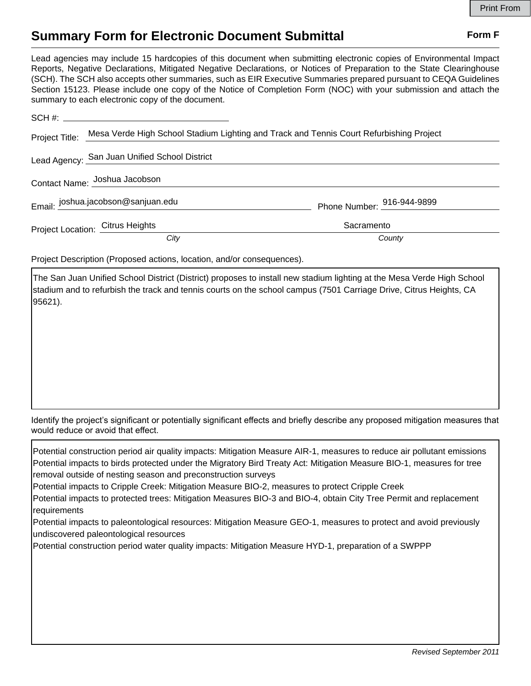## **Summary Form for Electronic Document Submittal Form F Form F**

Lead agencies may include 15 hardcopies of this document when submitting electronic copies of Environmental Impact Reports, Negative Declarations, Mitigated Negative Declarations, or Notices of Preparation to the State Clearinghouse (SCH). The SCH also accepts other summaries, such as EIR Executive Summaries prepared pursuant to CEQA Guidelines Section 15123. Please include one copy of the Notice of Completion Form (NOC) with your submission and attach the summary to each electronic copy of the document.

| Project Title:                | Mesa Verde High School Stadium Lighting and Track and Tennis Court Refurbishing Project |                            |
|-------------------------------|-----------------------------------------------------------------------------------------|----------------------------|
|                               | Lead Agency: San Juan Unified School District                                           |                            |
| Contact Name: Joshua Jacobson |                                                                                         |                            |
|                               | Email: joshua.jacobson@sanjuan.edu                                                      | Phone Number: 016-944-9899 |
|                               | Project Location: Citrus Heights                                                        | Sacramento                 |
|                               | City                                                                                    | County                     |

Project Description (Proposed actions, location, and/or consequences).

The San Juan Unified School District (District) proposes to install new stadium lighting at the Mesa Verde High School stadium and to refurbish the track and tennis courts on the school campus (7501 Carriage Drive, Citrus Heights, CA 95621).

Identify the project's significant or potentially significant effects and briefly describe any proposed mitigation measures that would reduce or avoid that effect.

| Potential construction period air quality impacts: Mitigation Measure AIR-1, measures to reduce air pollutant emissions<br>Potential impacts to birds protected under the Migratory Bird Treaty Act: Mitigation Measure BIO-1, measures for tree<br>removal outside of nesting season and preconstruction surveys |
|-------------------------------------------------------------------------------------------------------------------------------------------------------------------------------------------------------------------------------------------------------------------------------------------------------------------|
| Potential impacts to Cripple Creek: Mitigation Measure BIO-2, measures to protect Cripple Creek                                                                                                                                                                                                                   |
| Potential impacts to protected trees: Mitigation Measures BIO-3 and BIO-4, obtain City Tree Permit and replacement<br>requirements                                                                                                                                                                                |
| Potential impacts to paleontological resources: Mitigation Measure GEO-1, measures to protect and avoid previously<br>undiscovered paleontological resources                                                                                                                                                      |
| Potential construction period water quality impacts: Mitigation Measure HYD-1, preparation of a SWPPP                                                                                                                                                                                                             |
|                                                                                                                                                                                                                                                                                                                   |
|                                                                                                                                                                                                                                                                                                                   |
|                                                                                                                                                                                                                                                                                                                   |